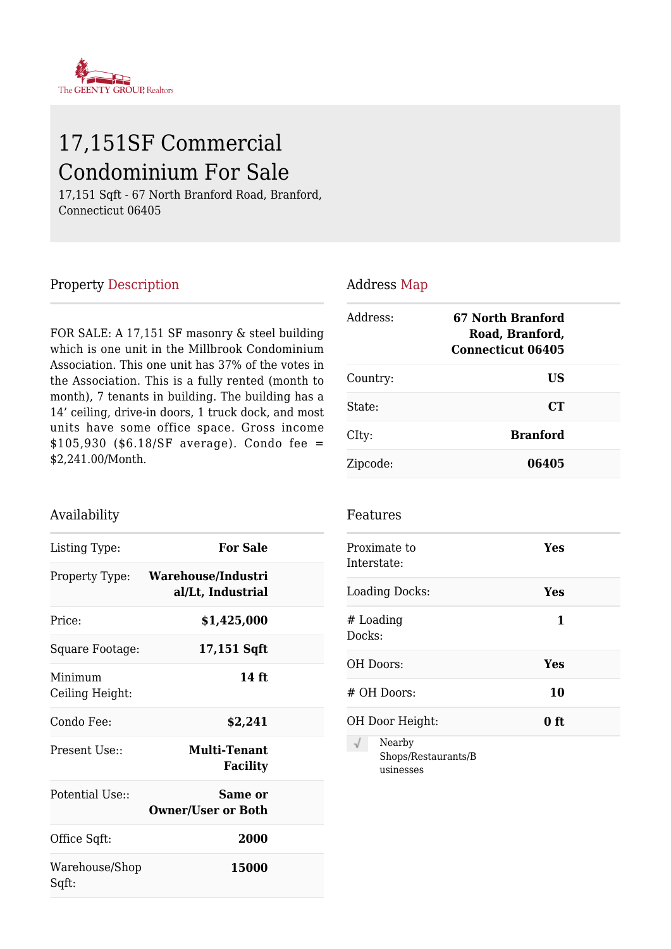

# 17,151SF Commercial Condominium For Sale

17,151 Sqft - 67 North Branford Road, Branford, Connecticut 06405

#### Property Description

FOR SALE: A 17,151 SF masonry & steel building which is one unit in the Millbrook Condominium Association. This one unit has 37% of the votes in the Association. This is a fully rented (month to month), 7 tenants in building. The building has a 14' ceiling, drive-in doors, 1 truck dock, and most units have some office space. Gross income \$105,930 (\$6.18/SF average). Condo fee = \$2,241.00/Month.

#### Availability

| Listing Type:              | <b>For Sale</b>                         |  |
|----------------------------|-----------------------------------------|--|
| Property Type:             | Warehouse/Industri<br>al/Lt, Industrial |  |
| Price:                     | \$1,425,000                             |  |
| Square Footage:            | 17,151 Sqft                             |  |
| Minimum<br>Ceiling Height: | 14 ft                                   |  |
| Condo Fee:                 | \$2,241                                 |  |
| Present Use::              | Multi-Tenant<br><b>Facility</b>         |  |
| Potential Use:             | Same or<br><b>Owner/User or Both</b>    |  |
| Office Sqft:               | 2000                                    |  |
| Warehouse/Shop<br>Sqft:    | 15000                                   |  |

#### Address Map

| Address: | 67 North Branford<br>Road, Branford,<br><b>Connecticut 06405</b> |  |
|----------|------------------------------------------------------------------|--|
| Country: | US                                                               |  |
| State:   | C T                                                              |  |
| CIty:    | <b>Branford</b>                                                  |  |
| Zipcode: | 06405                                                            |  |

#### Features

|        | Proximate to<br>Interstate:                | Yes  |  |
|--------|--------------------------------------------|------|--|
|        | <b>Loading Docks:</b>                      | Yes  |  |
| Docks: | # Loading                                  | 1    |  |
|        | OH Doors:                                  | Yes  |  |
|        | # OH Doors:                                | 10   |  |
|        | OH Door Height:                            | 0 ft |  |
| √      | Nearby<br>Shops/Restaurants/B<br>usinesses |      |  |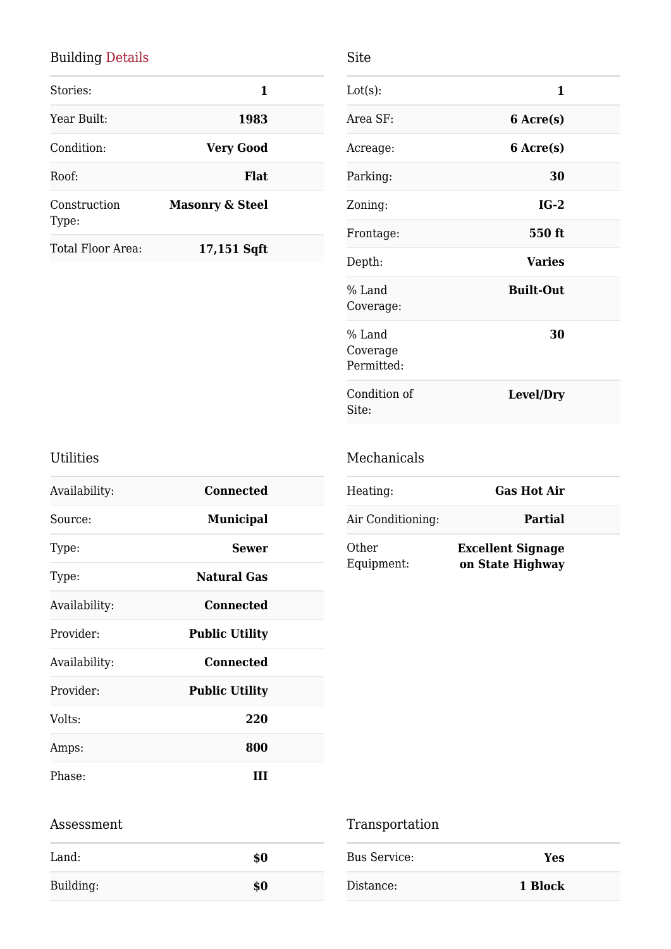### Building Details

|                            | 1 |
|----------------------------|---|
| 1983                       |   |
| <b>Very Good</b>           |   |
| <b>Flat</b>                |   |
| <b>Masonry &amp; Steel</b> |   |
| 17,151 Sqft                |   |
|                            |   |

| Lot(s):                          | 1                |  |
|----------------------------------|------------------|--|
| Area SF:                         | 6 Acre(s)        |  |
| Acreage:                         | 6 Acre(s)        |  |
| Parking:                         | 30               |  |
| Zoning:                          | $IG-2$           |  |
| Frontage:                        | 550 ft           |  |
| Depth:                           | <b>Varies</b>    |  |
| % Land<br>Coverage:              | <b>Built-Out</b> |  |
| % Land<br>Coverage<br>Permitted: | 30               |  |
| Condition of<br>Site:            | Level/Dry        |  |

### Utilities

| Availability: | Connected             |
|---------------|-----------------------|
| Source:       | <b>Municipal</b>      |
| Type:         | <b>Sewer</b>          |
| Type:         | <b>Natural Gas</b>    |
| Availability: | Connected             |
| Provider:     | <b>Public Utility</b> |
| Availability: | <b>Connected</b>      |
| Provider:     | <b>Public Utility</b> |
| Volts:        | 220                   |
| Amps:         | 800                   |
| Phase:        | ш                     |

### Mechanicals

Site

| Heating:            | <b>Gas Hot Air</b>                           |
|---------------------|----------------------------------------------|
| Air Conditioning:   | Partial                                      |
| Other<br>Equipment: | <b>Excellent Signage</b><br>on State Highway |

#### Assessment

| Land:     | \$0 |
|-----------|-----|
| Building: | \$0 |

## Transportation

| Bus Service: | Yes     |
|--------------|---------|
| Distance:    | 1 Block |